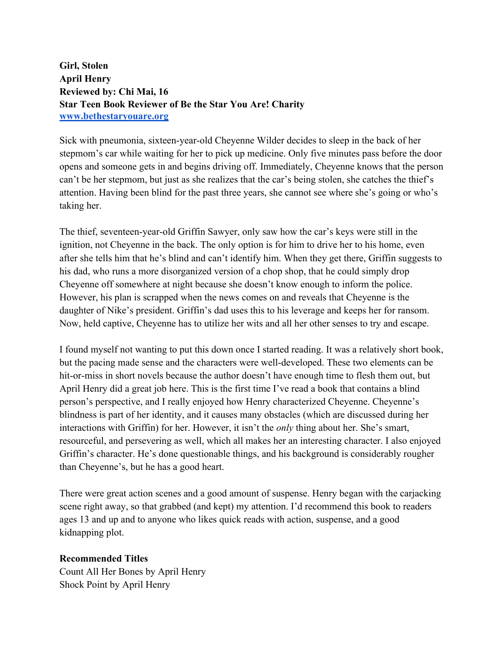**Girl, Stolen April Henry Reviewed by: Chi Mai, 16 Star Teen Book Reviewer of Be the Star You Are! Charity www.bethestaryouare.org**

Sick with pneumonia, sixteen-year-old Cheyenne Wilder decides to sleep in the back of her stepmom's car while waiting for her to pick up medicine. Only five minutes pass before the door opens and someone gets in and begins driving off. Immediately, Cheyenne knows that the person can't be her stepmom, but just as she realizes that the car's being stolen, she catches the thief's attention. Having been blind for the past three years, she cannot see where she's going or who's taking her.

The thief, seventeen-year-old Griffin Sawyer, only saw how the car's keys were still in the ignition, not Cheyenne in the back. The only option is for him to drive her to his home, even after she tells him that he's blind and can't identify him. When they get there, Griffin suggests to his dad, who runs a more disorganized version of a chop shop, that he could simply drop Cheyenne off somewhere at night because she doesn't know enough to inform the police. However, his plan is scrapped when the news comes on and reveals that Cheyenne is the daughter of Nike's president. Griffin's dad uses this to his leverage and keeps her for ransom. Now, held captive, Cheyenne has to utilize her wits and all her other senses to try and escape.

I found myself not wanting to put this down once I started reading. It was a relatively short book, but the pacing made sense and the characters were well-developed. These two elements can be hit-or-miss in short novels because the author doesn't have enough time to flesh them out, but April Henry did a great job here. This is the first time I've read a book that contains a blind person's perspective, and I really enjoyed how Henry characterized Cheyenne. Cheyenne's blindness is part of her identity, and it causes many obstacles (which are discussed during her interactions with Griffin) for her. However, it isn't the *only* thing about her. She's smart, resourceful, and persevering as well, which all makes her an interesting character. I also enjoyed Griffin's character. He's done questionable things, and his background is considerably rougher than Cheyenne's, but he has a good heart.

There were great action scenes and a good amount of suspense. Henry began with the carjacking scene right away, so that grabbed (and kept) my attention. I'd recommend this book to readers ages 13 and up and to anyone who likes quick reads with action, suspense, and a good kidnapping plot.

## **Recommended Titles**

Count All Her Bones by April Henry Shock Point by April Henry